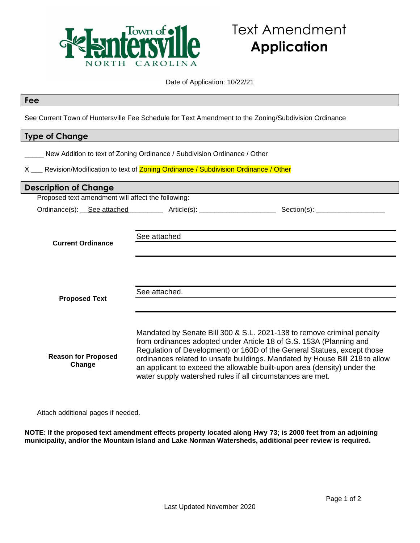

#### Date of Application: 10/22/21

| Fee                                                                                                  |                                                                                                                                                               |                                                                                                                                                                                                                                                                                                                                                                                     |
|------------------------------------------------------------------------------------------------------|---------------------------------------------------------------------------------------------------------------------------------------------------------------|-------------------------------------------------------------------------------------------------------------------------------------------------------------------------------------------------------------------------------------------------------------------------------------------------------------------------------------------------------------------------------------|
| See Current Town of Huntersville Fee Schedule for Text Amendment to the Zoning/Subdivision Ordinance |                                                                                                                                                               |                                                                                                                                                                                                                                                                                                                                                                                     |
| <b>Type of Change</b>                                                                                |                                                                                                                                                               |                                                                                                                                                                                                                                                                                                                                                                                     |
| X —                                                                                                  | New Addition to text of Zoning Ordinance / Subdivision Ordinance / Other<br>Revision/Modification to text of Zoning Ordinance / Subdivision Ordinance / Other |                                                                                                                                                                                                                                                                                                                                                                                     |
| <b>Description of Change</b>                                                                         |                                                                                                                                                               |                                                                                                                                                                                                                                                                                                                                                                                     |
| Proposed text amendment will affect the following:                                                   |                                                                                                                                                               |                                                                                                                                                                                                                                                                                                                                                                                     |
|                                                                                                      |                                                                                                                                                               |                                                                                                                                                                                                                                                                                                                                                                                     |
| <b>Current Ordinance</b>                                                                             | See attached                                                                                                                                                  |                                                                                                                                                                                                                                                                                                                                                                                     |
| <b>Proposed Text</b>                                                                                 | See attached.                                                                                                                                                 |                                                                                                                                                                                                                                                                                                                                                                                     |
| <b>Reason for Proposed</b><br>Change                                                                 | water supply watershed rules if all circumstances are met.                                                                                                    | Mandated by Senate Bill 300 & S.L. 2021-138 to remove criminal penalty<br>from ordinances adopted under Article 18 of G.S. 153A (Planning and<br>Regulation of Development) or 160D of the General Statues, except those<br>ordinances related to unsafe buildings. Mandated by House Bill 218 to allow<br>an applicant to exceed the allowable built-upon area (density) under the |

Attach additional pages if needed.

**NOTE: If the proposed text amendment effects property located along Hwy 73; is 2000 feet from an adjoining municipality, and/or the Mountain Island and Lake Norman Watersheds, additional peer review is required.**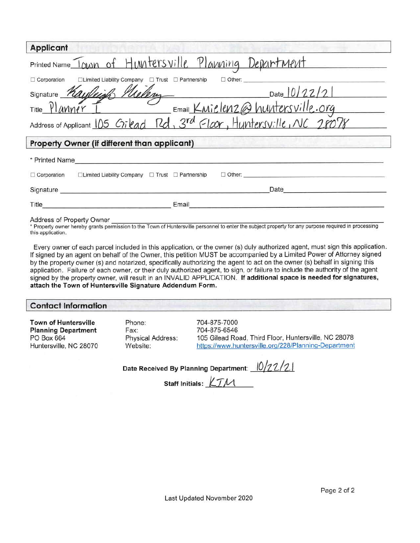| <b>Applicant</b>                                                                                                                                                                                                                             |  |  |  |
|----------------------------------------------------------------------------------------------------------------------------------------------------------------------------------------------------------------------------------------------|--|--|--|
| Printed Name Town of Huntersville Planning Department                                                                                                                                                                                        |  |  |  |
| □Limited Liability Company □ Trust □ Partnership<br>$\Box$ Other:<br>$\Box$ Corporation                                                                                                                                                      |  |  |  |
| Signature Kayleigh Milery<br>Date 10/22/21<br>Email Knielenz@huntersville.org                                                                                                                                                                |  |  |  |
| Title Planner                                                                                                                                                                                                                                |  |  |  |
| Address of Applicant 105 Gilead Rd, 3rd Floor, Huntersville, NC 28078                                                                                                                                                                        |  |  |  |
| Property Owner (if different than applicant)                                                                                                                                                                                                 |  |  |  |
| * Printed Name                                                                                                                                                                                                                               |  |  |  |
| $\Box$ Limited Liability Company $\Box$ Trust $\Box$ Partnership<br>$\Box$ Other:<br>$\Box$ Corporation                                                                                                                                      |  |  |  |
| Date<br>Signature                                                                                                                                                                                                                            |  |  |  |
| Email<br>Title <b>The Community of the Community Community</b> and the Community of the Community of the Community of the Community of the Community of the Community of the Community of the Community of the Community of the Community of |  |  |  |
| Address of Property Owner                                                                                                                                                                                                                    |  |  |  |

\* Property owner hereby grants permission to the Town of Huntersville personnel to enter the subject property for any purpose required in processing this application.

Every owner of each parcel included in this application, or the owner (s) duly authorized agent, must sign this application. If signed by an agent on behalf of the Owner, this petition MUST be accompanied by a Limited Power of Attorney signed by the property owner (s) and notarized, specifically authorizing the agent to act on the owner (s) behalf in signing this application. Failure of each owner, or their duly authorized agent, to sign, or failure to include the authority of the agent signed by the property owner, will result in an INVALID APPLICATION. If additional space is needed for signatures, attach the Town of Huntersville Signature Addendum Form.

#### **Contact Information**

**Town of Huntersville Planning Department** PO Box 664 Huntersville, NC 28070 Phone: Fax: **Physical Address:** Website:

704-875-7000 704-875-6546 105 Gilead Road, Third Floor, Huntersville, NC 28078 https://www.huntersville.org/228/Planning-Department

Date Received By Planning Department: 10/22/21

Staff Initials: TM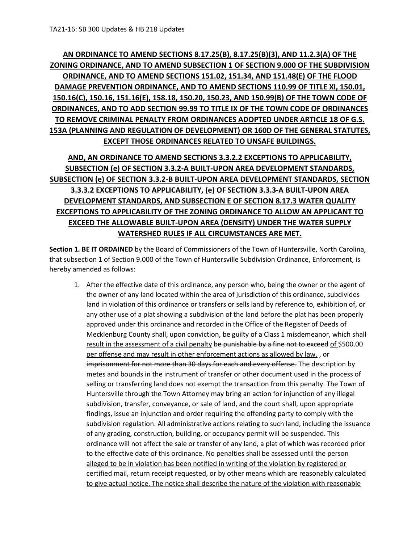# **AN ORDINANCE TO AMEND SECTIONS 8.17.25(B), 8.17.25(B)(3), AND 11.2.3(A) OF THE ZONING ORDINANCE, AND TO AMEND SUBSECTION 1 OF SECTION 9.000 OF THE SUBDIVISION ORDINANCE, AND TO AMEND SECTIONS 151.02, 151.34, AND 151.48(E) OF THE FLOOD DAMAGE PREVENTION ORDINANCE, AND TO AMEND SECTIONS 110.99 OF TITLE XI, 150.01, 150.16(C), 150.16, 151.16(E), 158.18, 150.20, 150.23, AND 150.99(B) OF THE TOWN CODE OF ORDINANCES, AND TO ADD SECTION 99.99 TO TITLE IX OF THE TOWN CODE OF ORDINANCES TO REMOVE CRIMINAL PENALTY FROM ORDINANCES ADOPTED UNDER ARTICLE 18 OF G.S. 153A (PLANNING AND REGULATION OF DEVELOPMENT) OR 160D OF THE GENERAL STATUTES, EXCEPT THOSE ORDINANCES RELATED TO UNSAFE BUILDINGS.**

# **AND, AN ORDINANCE TO AMEND SECTIONS 3.3.2.2 EXCEPTIONS TO APPLICABILITY, SUBSECTION (e) OF SECTION 3.3.2-A BUILT-UPON AREA DEVELOPMENT STANDARDS, SUBSECTION (e) OF SECTION 3.3.2-B BUILT-UPON AREA DEVELOPMENT STANDARDS, SECTION 3.3.3.2 EXCEPTIONS TO APPLICABILITY, (e) OF SECTION 3.3.3-A BUILT-UPON AREA DEVELOPMENT STANDARDS, AND SUBSECTION E OF SECTION 8.17.3 WATER QUALITY EXCEPTIONS TO APPLICABILITY OF THE ZONING ORDINANCE TO ALLOW AN APPLICANT TO EXCEED THE ALLOWABLE BUILT-UPON AREA (DENSITY) UNDER THE WATER SUPPLY WATERSHED RULES IF ALL CIRCUMSTANCES ARE MET.**

**Section 1. BE IT ORDAINED** by the Board of Commissioners of the Town of Huntersville, North Carolina, that subsection 1 of Section 9.000 of the Town of Huntersville Subdivision Ordinance, Enforcement, is hereby amended as follows:

1. After the effective date of this ordinance, any person who, being the owner or the agent of the owner of any land located within the area of jurisdiction of this ordinance, subdivides land in violation of this ordinance or transfers or sells land by reference to, exhibition of, or any other use of a plat showing a subdivision of the land before the plat has been properly approved under this ordinance and recorded in the Office of the Register of Deeds of Mecklenburg County shall<del>, upon conviction, be guilty of a Class 1 misdemeanor, which shall</del> result in the assessment of a civil penalty be punishable by a fine not to exceed of \$500.00 per offense and may result in other enforcement actions as allowed by law.  $\frac{1}{10}$ imprisonment for not more than 30 days for each and every offense. The description by metes and bounds in the instrument of transfer or other document used in the process of selling or transferring land does not exempt the transaction from this penalty. The Town of Huntersville through the Town Attorney may bring an action for injunction of any illegal subdivision, transfer, conveyance, or sale of land, and the court shall, upon appropriate findings, issue an injunction and order requiring the offending party to comply with the subdivision regulation. All administrative actions relating to such land, including the issuance of any grading, construction, building, or occupancy permit will be suspended. This ordinance will not affect the sale or transfer of any land, a plat of which was recorded prior to the effective date of this ordinance. No penalties shall be assessed until the person alleged to be in violation has been notified in writing of the violation by registered or certified mail, return receipt requested, or by other means which are reasonably calculated to give actual notice. The notice shall describe the nature of the violation with reasonable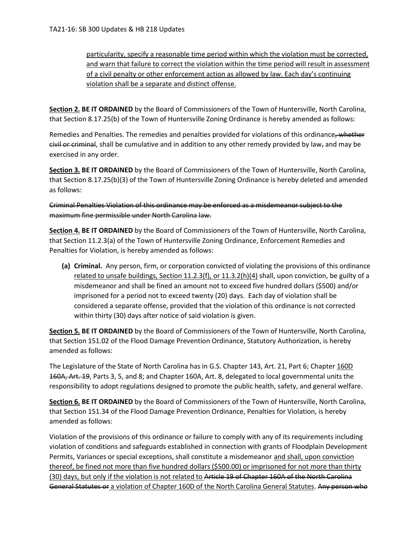particularity, specify a reasonable time period within which the violation must be corrected, and warn that failure to correct the violation within the time period will result in assessment of a civil penalty or other enforcement action as allowed by law. Each day's continuing violation shall be a separate and distinct offense.

**Section 2. BE IT ORDAINED** by the Board of Commissioners of the Town of Huntersville, North Carolina, that Section 8.17.25(b) of the Town of Huntersville Zoning Ordinance is hereby amended as follows:

Remedies and Penalties. The remedies and penalties provided for violations of this ordinance, whether  $e$ ivil or criminal, shall be cumulative and in addition to any other remedy provided by law, and may be exercised in any order.

**Section 3. BE IT ORDAINED** by the Board of Commissioners of the Town of Huntersville, North Carolina, that Section 8.17.25(b)(3) of the Town of Huntersville Zoning Ordinance is hereby deleted and amended as follows:

Criminal Penalties Violation of this ordinance may be enforced as a misdemeanor subject to the maximum fine permissible under North Carolina law.

**Section 4. BE IT ORDAINED** by the Board of Commissioners of the Town of Huntersville, North Carolina, that Section 11.2.3(a) of the Town of Huntersville Zoning Ordinance, Enforcement Remedies and Penalties for Violation, is hereby amended as follows:

**(a) Criminal.** Any person, firm, or corporation convicted of violating the provisions of this ordinance related to unsafe buildings, Section 11.2.3(f), or 11.3.2(h)(4) shall, upon conviction, be guilty of a misdemeanor and shall be fined an amount not to exceed five hundred dollars (\$500) and/or imprisoned for a period not to exceed twenty (20) days. Each day of violation shall be considered a separate offense, provided that the violation of this ordinance is not corrected within thirty (30) days after notice of said violation is given.

**Section 5. BE IT ORDAINED** by the Board of Commissioners of the Town of Huntersville, North Carolina, that Section 151.02 of the Flood Damage Prevention Ordinance, Statutory Authorization, is hereby amended as follows:

The Legislature of the State of North Carolina has in G.S. Chapter 143, Art. 21, Part 6; Chapter 160D 160A, Art. 19, Parts 3, 5, and 8; and Chapter 160A, Art. 8, delegated to local governmental units the responsibility to adopt regulations designed to promote the public health, safety, and general welfare.

**Section 6. BE IT ORDAINED** by the Board of Commissioners of the Town of Huntersville, North Carolina, that Section 151.34 of the Flood Damage Prevention Ordinance, Penalties for Violation, is hereby amended as follows:

Violation of the provisions of this ordinance or failure to comply with any of its requirements including violation of conditions and safeguards established in connection with grants of Floodplain Development Permits, Variances or special exceptions, shall constitute a misdemeanor and shall, upon conviction thereof, be fined not more than five hundred dollars (\$500.00) or imprisoned for not more than thirty (30) days, but only if the violation is not related to Article 19 of Chapter 160A of the North Carolina General Statutes or a violation of Chapter 160D of the North Carolina General Statutes. Any person who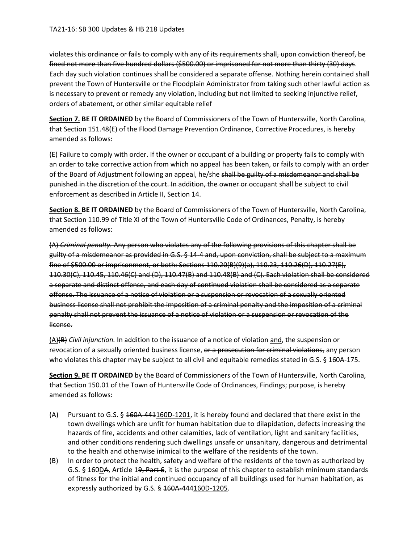violates this ordinance or fails to comply with any of its requirements shall, upon conviction thereof, be fined not more than five hundred dollars (\$500.00) or imprisoned for not more than thirty (30) days. Each day such violation continues shall be considered a separate offense. Nothing herein contained shall prevent the Town of Huntersville or the Floodplain Administrator from taking such other lawful action as is necessary to prevent or remedy any violation, including but not limited to seeking injunctive relief, orders of abatement, or other similar equitable relief

**Section 7. BE IT ORDAINED** by the Board of Commissioners of the Town of Huntersville, North Carolina, that Section 151.48(E) of the Flood Damage Prevention Ordinance, Corrective Procedures, is hereby amended as follows:

(E) Failure to comply with order. If the owner or occupant of a building or property fails to comply with an order to take corrective action from which no appeal has been taken, or fails to comply with an order of the Board of Adjustment following an appeal, he/she shall be guilty of a misdemeanor and shall be punished in the discretion of the court. In addition, the owner or occupant shall be subject to civil enforcement as described in Article II, Section 14.

**Section 8. BE IT ORDAINED** by the Board of Commissioners of the Town of Huntersville, North Carolina, that Section 110.99 of Title XI of the Town of Huntersville Code of Ordinances, Penalty, is hereby amended as follows:

(A) *Criminal penalty.* Any person who violates any of the following provisions of this chapter shall be guilty of a misdemeanor as provided in G.S. § 14-4 and, upon conviction, shall be subject to a maximum fine of \$500.00 or imprisonment, or both: Sections 110.20(B)(9)(a), 110.23, 110.26(D), 110.27(E), 110.30(C), 110.45, 110.46(C) and (D), 110.47(B) and 110.48(B) and (C). Each violation shall be considered a separate and distinct offense, and each day of continued violation shall be considered as a separate offense. The issuance of a notice of violation or a suspension or revocation of a sexually oriented business license shall not prohibit the imposition of a criminal penalty and the imposition of a criminal penalty shall not prevent the issuance of a notice of violation or a suspension or revocation of the license.

(A)(B) *Civil injunction.* In addition to the issuance of a notice of violation and, the suspension or revocation of a sexually oriented business license, or a prosecution for criminal violations, any person who violates this chapter may be subject to all civil and equitable remedies stated in G.S. § 160A-175.

**Section 9. BE IT ORDAINED** by the Board of Commissioners of the Town of Huntersville, North Carolina, that Section 150.01 of the Town of Huntersville Code of Ordinances, Findings; purpose, is hereby amended as follows:

- (A) Pursuant to G.S. § 160A-441160D-1201, it is hereby found and declared that there exist in the town dwellings which are unfit for human habitation due to dilapidation, defects increasing the hazards of fire, accidents and other calamities, lack of ventilation, light and sanitary facilities, and other conditions rendering such dwellings unsafe or unsanitary, dangerous and detrimental to the health and otherwise inimical to the welfare of the residents of the town.
- (B) In order to protect the health, safety and welfare of the residents of the town as authorized by G.S. § 160DA, Article 19, Part 6, it is the purpose of this chapter to establish minimum standards of fitness for the initial and continued occupancy of all buildings used for human habitation, as expressly authorized by G.S.  $\S$  160A-444160D-1205.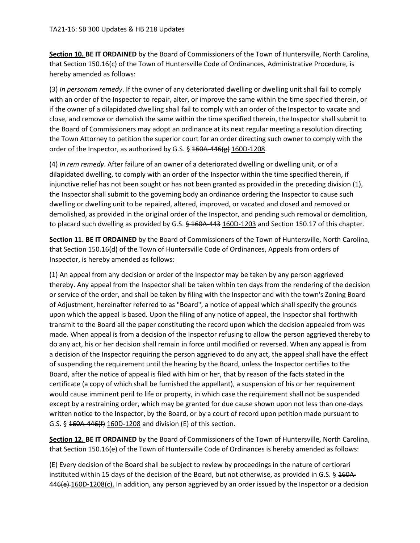**Section 10. BE IT ORDAINED** by the Board of Commissioners of the Town of Huntersville, North Carolina, that Section 150.16(c) of the Town of Huntersville Code of Ordinances, Administrative Procedure, is hereby amended as follows:

(3) *In personam remedy*. If the owner of any deteriorated dwelling or dwelling unit shall fail to comply with an order of the Inspector to repair, alter, or improve the same within the time specified therein, or if the owner of a dilapidated dwelling shall fail to comply with an order of the Inspector to vacate and close, and remove or demolish the same within the time specified therein, the Inspector shall submit to the Board of Commissioners may adopt an ordinance at its next regular meeting a resolution directing the Town Attorney to petition the superior court for an order directing such owner to comply with the order of the Inspector, as authorized by G.S. § 160A-446(g) 160D-1208.

(4) *In rem remedy*. After failure of an owner of a deteriorated dwelling or dwelling unit, or of a dilapidated dwelling, to comply with an order of the Inspector within the time specified therein, if injunctive relief has not been sought or has not been granted as provided in the preceding division (1), the Inspector shall submit to the governing body an ordinance ordering the Inspector to cause such dwelling or dwelling unit to be repaired, altered, improved, or vacated and closed and removed or demolished, as provided in the original order of the Inspector, and pending such removal or demolition, to placard such dwelling as provided by G.S.  $\frac{6460 - 443}{160}$  160D-1203 and Section 150.17 of this chapter.

**Section 11. BE IT ORDAINED** by the Board of Commissioners of the Town of Huntersville, North Carolina, that Section 150.16(d) of the Town of Huntersville Code of Ordinances, Appeals from orders of Inspector, is hereby amended as follows:

(1) An appeal from any decision or order of the Inspector may be taken by any person aggrieved thereby. Any appeal from the Inspector shall be taken within ten days from the rendering of the decision or service of the order, and shall be taken by filing with the Inspector and with the town's Zoning Board of Adjustment, hereinafter referred to as "Board", a notice of appeal which shall specify the grounds upon which the appeal is based. Upon the filing of any notice of appeal, the Inspector shall forthwith transmit to the Board all the paper constituting the record upon which the decision appealed from was made. When appeal is from a decision of the Inspector refusing to allow the person aggrieved thereby to do any act, his or her decision shall remain in force until modified or reversed. When any appeal is from a decision of the Inspector requiring the person aggrieved to do any act, the appeal shall have the effect of suspending the requirement until the hearing by the Board, unless the Inspector certifies to the Board, after the notice of appeal is filed with him or her, that by reason of the facts stated in the certificate (a copy of which shall be furnished the appellant), a suspension of his or her requirement would cause imminent peril to life or property, in which case the requirement shall not be suspended except by a restraining order, which may be granted for due cause shown upon not less than one-days written notice to the Inspector, by the Board, or by a court of record upon petition made pursuant to G.S. § 160A-446(f) 160D-1208 and division (E) of this section.

**Section 12. BE IT ORDAINED** by the Board of Commissioners of the Town of Huntersville, North Carolina, that Section 150.16(e) of the Town of Huntersville Code of Ordinances is hereby amended as follows:

(E) Every decision of the Board shall be subject to review by proceedings in the nature of certiorari instituted within 15 days of the decision of the Board, but not otherwise, as provided in G.S. § 160A-446(e) 160D-1208(c). In addition, any person aggrieved by an order issued by the Inspector or a decision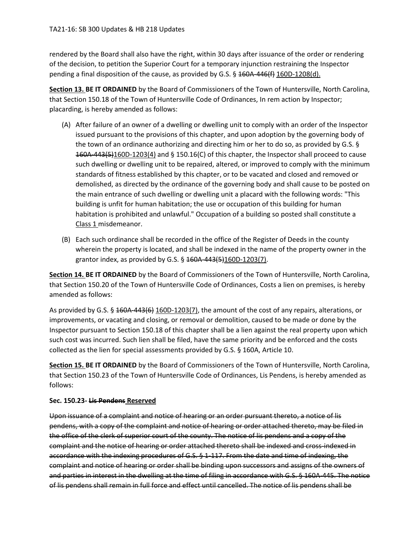rendered by the Board shall also have the right, within 30 days after issuance of the order or rendering of the decision, to petition the Superior Court for a temporary injunction restraining the Inspector pending a final disposition of the cause, as provided by G.S. § 160A-446(f) 160D-1208(d).

**Section 13. BE IT ORDAINED** by the Board of Commissioners of the Town of Huntersville, North Carolina, that Section 150.18 of the Town of Huntersville Code of Ordinances, In rem action by Inspector; placarding, is hereby amended as follows:

- (A) After failure of an owner of a dwelling or dwelling unit to comply with an order of the Inspector issued pursuant to the provisions of this chapter, and upon adoption by the governing body of the town of an ordinance authorizing and directing him or her to do so, as provided by G.S. § 160A-443(5)160D-1203(4) and § 150.16(C) of this chapter, the Inspector shall proceed to cause such dwelling or dwelling unit to be repaired, altered, or improved to comply with the minimum standards of fitness established by this chapter, or to be vacated and closed and removed or demolished, as directed by the ordinance of the governing body and shall cause to be posted on the main entrance of such dwelling or dwelling unit a placard with the following words: "This building is unfit for human habitation; the use or occupation of this building for human habitation is prohibited and unlawful." Occupation of a building so posted shall constitute a Class 1 misdemeanor.
- (B) Each such ordinance shall be recorded in the office of the Register of Deeds in the county wherein the property is located, and shall be indexed in the name of the property owner in the grantor index, as provided by G.S. § 160A-443(5)160D-1203(7).

**Section 14. BE IT ORDAINED** by the Board of Commissioners of the Town of Huntersville, North Carolina, that Section 150.20 of the Town of Huntersville Code of Ordinances, Costs a lien on premises, is hereby amended as follows:

As provided by G.S. § 160A-443(6) 160D-1203(7), the amount of the cost of any repairs, alterations, or improvements, or vacating and closing, or removal or demolition, caused to be made or done by the Inspector pursuant to Section 150.18 of this chapter shall be a lien against the real property upon which such cost was incurred. Such lien shall be filed, have the same priority and be enforced and the costs collected as the lien for special assessments provided by G.S. § 160A, Article 10.

**Section 15. BE IT ORDAINED** by the Board of Commissioners of the Town of Huntersville, North Carolina, that Section 150.23 of the Town of Huntersville Code of Ordinances, Lis Pendens, is hereby amended as follows:

### **Sec. 150.23- Lis Pendens Reserved**

Upon issuance of a complaint and notice of hearing or an order pursuant thereto, a notice of lis pendens, with a copy of the complaint and notice of hearing or order attached thereto, may be filed in the office of the clerk of superior court of the county. The notice of lis pendens and a copy of the complaint and the notice of hearing or order attached thereto shall be indexed and cross-indexed in accordance with the indexing procedures of G.S. § 1-117. From the date and time of indexing, the complaint and notice of hearing or order shall be binding upon successors and assigns of the owners of and parties in interest in the dwelling at the time of filing in accordance with G.S. § 160A-445. The notice of lis pendens shall remain in full force and effect until cancelled. The notice of lis pendens shall be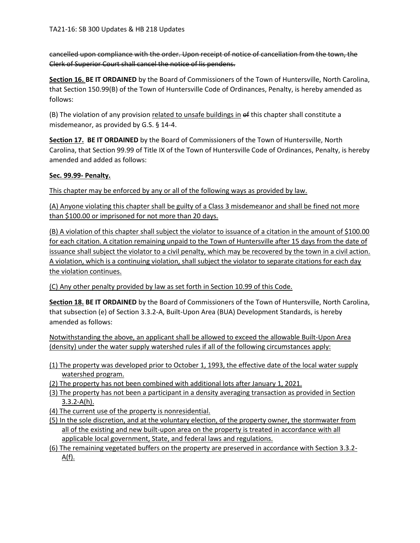cancelled upon compliance with the order. Upon receipt of notice of cancellation from the town, the Clerk of Superior Court shall cancel the notice of lis pendens.

**Section 16. BE IT ORDAINED** by the Board of Commissioners of the Town of Huntersville, North Carolina, that Section 150.99(B) of the Town of Huntersville Code of Ordinances, Penalty, is hereby amended as follows:

(B) The violation of any provision related to unsafe buildings in of this chapter shall constitute a misdemeanor, as provided by G.S. § 14-4.

**Section 17. BE IT ORDAINED** by the Board of Commissioners of the Town of Huntersville, North Carolina, that Section 99.99 of Title IX of the Town of Huntersville Code of Ordinances, Penalty, is hereby amended and added as follows:

### **Sec. 99.99- Penalty.**

This chapter may be enforced by any or all of the following ways as provided by law.

(A) Anyone violating this chapter shall be guilty of a Class 3 misdemeanor and shall be fined not more than \$100.00 or imprisoned for not more than 20 days.

(B) A violation of this chapter shall subject the violator to issuance of a citation in the amount of \$100.00 for each citation. A citation remaining unpaid to the Town of Huntersville after 15 days from the date of issuance shall subject the violator to a civil penalty, which may be recovered by the town in a civil action. A violation, which is a continuing violation, shall subject the violator to separate citations for each day the violation continues.

(C) Any other penalty provided by law as set forth in Section 10.99 of this Code.

**Section 18. BE IT ORDAINED** by the Board of Commissioners of the Town of Huntersville, North Carolina, that subsection (e) of Section 3.3.2-A, Built-Upon Area (BUA) Development Standards, is hereby amended as follows:

Notwithstanding the above, an applicant shall be allowed to exceed the allowable Built-Upon Area (density) under the water supply watershed rules if all of the following circumstances apply:

- (1) The property was developed prior to October 1, 1993, the effective date of the local water supply watershed program.
- (2) The property has not been combined with additional lots after January 1, 2021.
- (3) The property has not been a participant in a density averaging transaction as provided in Section 3.3.2-A(h).
- (4) The current use of the property is nonresidential.
- (5) In the sole discretion, and at the voluntary election, of the property owner, the stormwater from all of the existing and new built-upon area on the property is treated in accordance with all applicable local government, State, and federal laws and regulations.
- (6) The remaining vegetated buffers on the property are preserved in accordance with Section 3.3.2- A(f).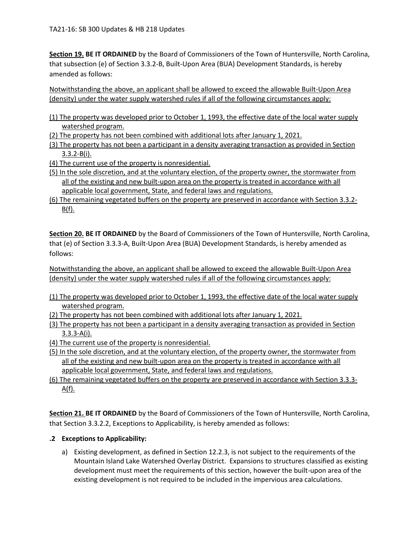**Section 19. BE IT ORDAINED** by the Board of Commissioners of the Town of Huntersville, North Carolina, that subsection (e) of Section 3.3.2-B, Built-Upon Area (BUA) Development Standards, is hereby amended as follows:

Notwithstanding the above, an applicant shall be allowed to exceed the allowable Built-Upon Area (density) under the water supply watershed rules if all of the following circumstances apply:

(1) The property was developed prior to October 1, 1993, the effective date of the local water supply watershed program.

- (2) The property has not been combined with additional lots after January 1, 2021.
- (3) The property has not been a participant in a density averaging transaction as provided in Section 3.3.2-B(i).
- (4) The current use of the property is nonresidential.
- (5) In the sole discretion, and at the voluntary election, of the property owner, the stormwater from all of the existing and new built-upon area on the property is treated in accordance with all applicable local government, State, and federal laws and regulations.
- (6) The remaining vegetated buffers on the property are preserved in accordance with Section 3.3.2-  $B(f)$ .

**Section 20. BE IT ORDAINED** by the Board of Commissioners of the Town of Huntersville, North Carolina, that (e) of Section 3.3.3-A, Built-Upon Area (BUA) Development Standards, is hereby amended as follows:

Notwithstanding the above, an applicant shall be allowed to exceed the allowable Built-Upon Area (density) under the water supply watershed rules if all of the following circumstances apply:

- (1) The property was developed prior to October 1, 1993, the effective date of the local water supply watershed program.
- (2) The property has not been combined with additional lots after January 1, 2021.
- (3) The property has not been a participant in a density averaging transaction as provided in Section 3.3.3-A(i).
- (4) The current use of the property is nonresidential.
- (5) In the sole discretion, and at the voluntary election, of the property owner, the stormwater from all of the existing and new built-upon area on the property is treated in accordance with all applicable local government, State, and federal laws and regulations.
- (6) The remaining vegetated buffers on the property are preserved in accordance with Section 3.3.3- <u>A(f).</u>

**Section 21. BE IT ORDAINED** by the Board of Commissioners of the Town of Huntersville, North Carolina, that Section 3.3.2.2, Exceptions to Applicability, is hereby amended as follows:

### **.2 Exceptions to Applicability:**

a) Existing development, as defined in Section 12.2.3, is not subject to the requirements of the Mountain Island Lake Watershed Overlay District. Expansions to structures classified as existing development must meet the requirements of this section, however the built-upon area of the existing development is not required to be included in the impervious area calculations.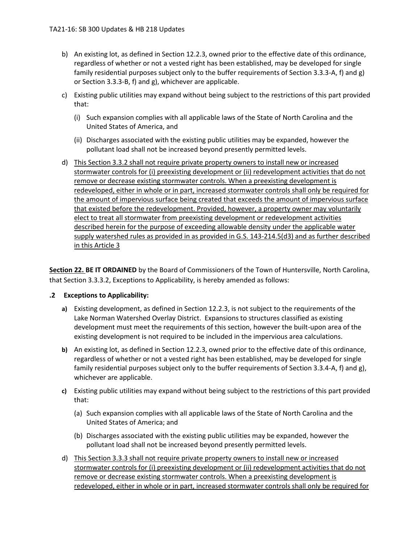- b) An existing lot, as defined in Section 12.2.3, owned prior to the effective date of this ordinance, regardless of whether or not a vested right has been established, may be developed for single family residential purposes subject only to the buffer requirements of Section 3.3.3-A, f) and g) or Section 3.3.3-B, f) and g), whichever are applicable.
- c) Existing public utilities may expand without being subject to the restrictions of this part provided that:
	- (i) Such expansion complies with all applicable laws of the State of North Carolina and the United States of America, and
	- (ii) Discharges associated with the existing public utilities may be expanded, however the pollutant load shall not be increased beyond presently permitted levels.
- d) This Section 3.3.2 shall not require private property owners to install new or increased stormwater controls for (i) preexisting development or (ii) redevelopment activities that do not remove or decrease existing stormwater controls. When a preexisting development is redeveloped, either in whole or in part, increased stormwater controls shall only be required for the amount of impervious surface being created that exceeds the amount of impervious surface that existed before the redevelopment. Provided, however, a property owner may voluntarily elect to treat all stormwater from preexisting development or redevelopment activities described herein for the purpose of exceeding allowable density under the applicable water supply watershed rules as provided in as provided in G.S. 143-214.5(d3) and as further described in this Article 3

**Section 22. BE IT ORDAINED** by the Board of Commissioners of the Town of Huntersville, North Carolina, that Section 3.3.3.2, Exceptions to Applicability, is hereby amended as follows:

### **.2 Exceptions to Applicability:**

- **a)** Existing development, as defined in Section 12.2.3, is not subject to the requirements of the Lake Norman Watershed Overlay District. Expansions to structures classified as existing development must meet the requirements of this section, however the built-upon area of the existing development is not required to be included in the impervious area calculations.
- **b)** An existing lot, as defined in Section 12.2.3, owned prior to the effective date of this ordinance, regardless of whether or not a vested right has been established, may be developed for single family residential purposes subject only to the buffer requirements of Section 3.3.4-A, f) and g), whichever are applicable.
- **c)** Existing public utilities may expand without being subject to the restrictions of this part provided that:
	- (a) Such expansion complies with all applicable laws of the State of North Carolina and the United States of America; and
	- (b) Discharges associated with the existing public utilities may be expanded, however the pollutant load shall not be increased beyond presently permitted levels.
- d) This Section 3.3.3 shall not require private property owners to install new or increased stormwater controls for (i) preexisting development or (ii) redevelopment activities that do not remove or decrease existing stormwater controls. When a preexisting development is redeveloped, either in whole or in part, increased stormwater controls shall only be required for